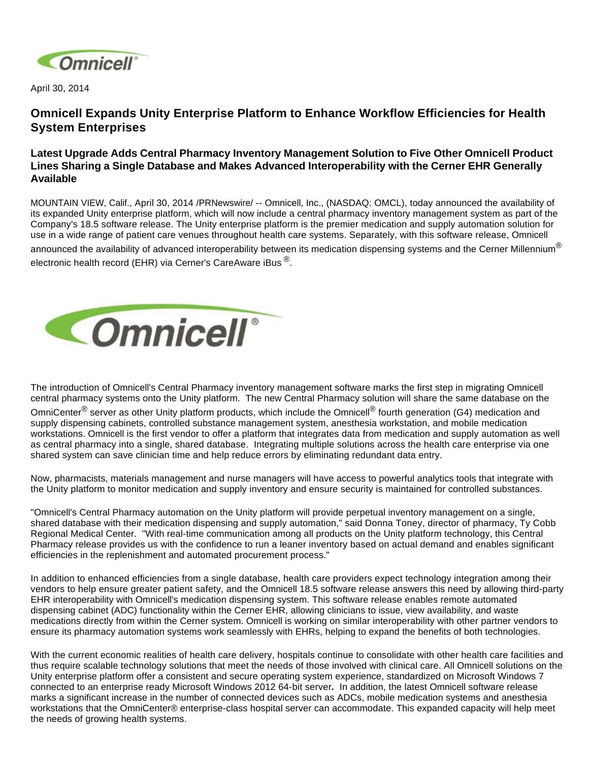

April 30, 2014

## **Omnicell Expands Unity Enterprise Platform to Enhance Workflow Efficiencies for Health System Enterprises**

## **Latest Upgrade Adds Central Pharmacy Inventory Management Solution to Five Other Omnicell Product Lines Sharing a Single Database and Makes Advanced Interoperability with the Cerner EHR Generally Available**

MOUNTAIN VIEW, Calif., April 30, 2014 /PRNewswire/ -- Omnicell, Inc., (NASDAQ: OMCL), today announced the availability of its expanded Unity enterprise platform, which will now include a central pharmacy inventory management system as part of the Company's 18.5 software release. The Unity enterprise platform is the premier medication and supply automation solution for use in a wide range of patient care venues throughout health care systems. Separately, with this software release, Omnicell announced the availability of advanced interoperability between its medication dispensing systems and the Cerner Millennium $^{\circledR}$ electronic health record (EHR) via Cerner's CareAware iBus<sup>®</sup>.



The introduction of Omnicell's Central Pharmacy inventory management software marks the first step in migrating Omnicell central pharmacy systems onto the Unity platform. The new Central Pharmacy solution will share the same database on the

OmniCenter<sup>®</sup> server as other Unity platform products, which include the Omnicell<sup>®</sup> fourth generation (G4) medication and supply dispensing cabinets, controlled substance management system, anesthesia workstation, and mobile medication workstations. Omnicell is the first vendor to offer a platform that integrates data from medication and supply automation as well as central pharmacy into a single, shared database. Integrating multiple solutions across the health care enterprise via one shared system can save clinician time and help reduce errors by eliminating redundant data entry.

Now, pharmacists, materials management and nurse managers will have access to powerful analytics tools that integrate with the Unity platform to monitor medication and supply inventory and ensure security is maintained for controlled substances.

"Omnicell's Central Pharmacy automation on the Unity platform will provide perpetual inventory management on a single, shared database with their medication dispensing and supply automation," said Donna Toney, director of pharmacy, Ty Cobb Regional Medical Center. "With real-time communication among all products on the Unity platform technology, this Central Pharmacy release provides us with the confidence to run a leaner inventory based on actual demand and enables significant efficiencies in the replenishment and automated procurement process."

In addition to enhanced efficiencies from a single database, health care providers expect technology integration among their vendors to help ensure greater patient safety, and the Omnicell 18.5 software release answers this need by allowing third-party EHR interoperability with Omnicell's medication dispensing system. This software release enables remote automated dispensing cabinet (ADC) functionality within the Cerner EHR, allowing clinicians to issue, view availability, and waste medications directly from within the Cerner system. Omnicell is working on similar interoperability with other partner vendors to ensure its pharmacy automation systems work seamlessly with EHRs, helping to expand the benefits of both technologies.

With the current economic realities of health care delivery, hospitals continue to consolidate with other health care facilities and thus require scalable technology solutions that meet the needs of those involved with clinical care. All Omnicell solutions on the Unity enterprise platform offer a consistent and secure operating system experience, standardized on Microsoft Windows 7 connected to an enterprise ready Microsoft Windows 2012 64-bit server**.** In addition, the latest Omnicell software release marks a significant increase in the number of connected devices such as ADCs, mobile medication systems and anesthesia workstations that the OmniCenter® enterprise-class hospital server can accommodate. This expanded capacity will help meet the needs of growing health systems.